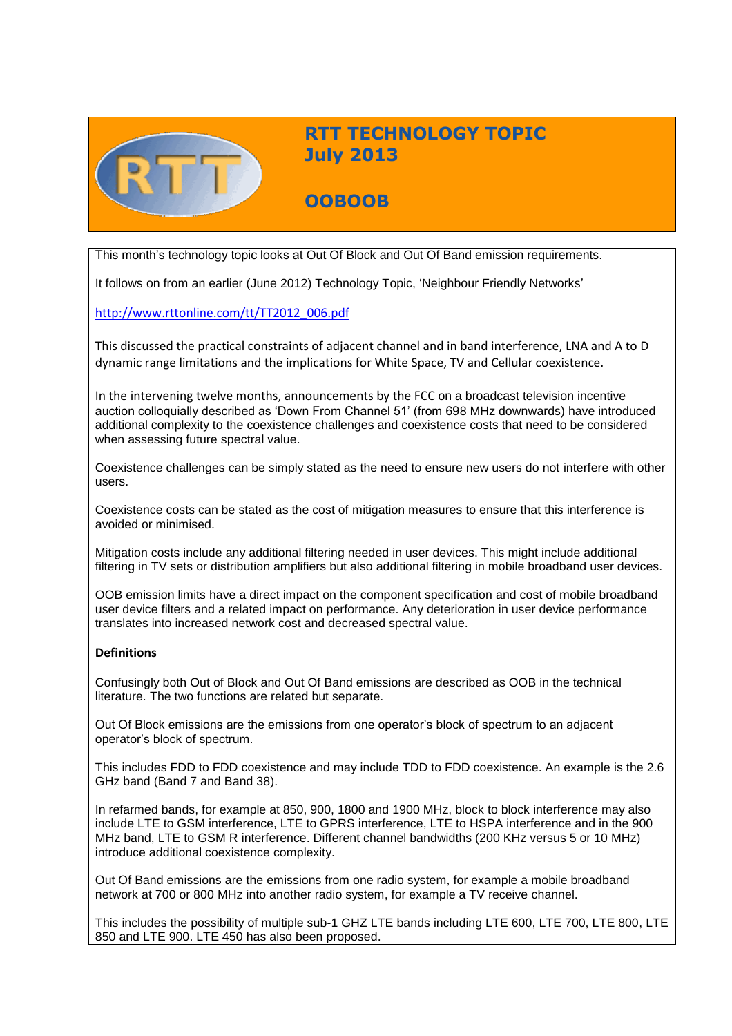

# **RTT TECHNOLOGY TOPIC July 2013**

**OOBOOB**

This month's technology topic looks at Out Of Block and Out Of Band emission requirements.

It follows on from an earlier (June 2012) Technology Topic, 'Neighbour Friendly Networks'

[http://www.rttonline.com/tt/TT2012\\_006.pdf](http://www.rttonline.com/tt/TT2012_006.pdf)

This discussed the practical constraints of adjacent channel and in band interference, LNA and A to D dynamic range limitations and the implications for White Space, TV and Cellular coexistence.

In the intervening twelve months, announcements by the FCC on a broadcast television incentive auction colloquially described as 'Down From Channel 51' (from 698 MHz downwards) have introduced additional complexity to the coexistence challenges and coexistence costs that need to be considered when assessing future spectral value.

Coexistence challenges can be simply stated as the need to ensure new users do not interfere with other users.

Coexistence costs can be stated as the cost of mitigation measures to ensure that this interference is avoided or minimised.

Mitigation costs include any additional filtering needed in user devices. This might include additional filtering in TV sets or distribution amplifiers but also additional filtering in mobile broadband user devices.

OOB emission limits have a direct impact on the component specification and cost of mobile broadband user device filters and a related impact on performance. Any deterioration in user device performance translates into increased network cost and decreased spectral value.

#### **Definitions**

Confusingly both Out of Block and Out Of Band emissions are described as OOB in the technical literature. The two functions are related but separate.

Out Of Block emissions are the emissions from one operator's block of spectrum to an adjacent operator's block of spectrum.

This includes FDD to FDD coexistence and may include TDD to FDD coexistence. An example is the 2.6 GHz band (Band 7 and Band 38).

In refarmed bands, for example at 850, 900, 1800 and 1900 MHz, block to block interference may also include LTE to GSM interference, LTE to GPRS interference, LTE to HSPA interference and in the 900 MHz band, LTE to GSM R interference. Different channel bandwidths (200 KHz versus 5 or 10 MHz) introduce additional coexistence complexity.

Out Of Band emissions are the emissions from one radio system, for example a mobile broadband network at 700 or 800 MHz into another radio system, for example a TV receive channel.

This includes the possibility of multiple sub-1 GHZ LTE bands including LTE 600, LTE 700, LTE 800, LTE 850 and LTE 900. LTE 450 has also been proposed.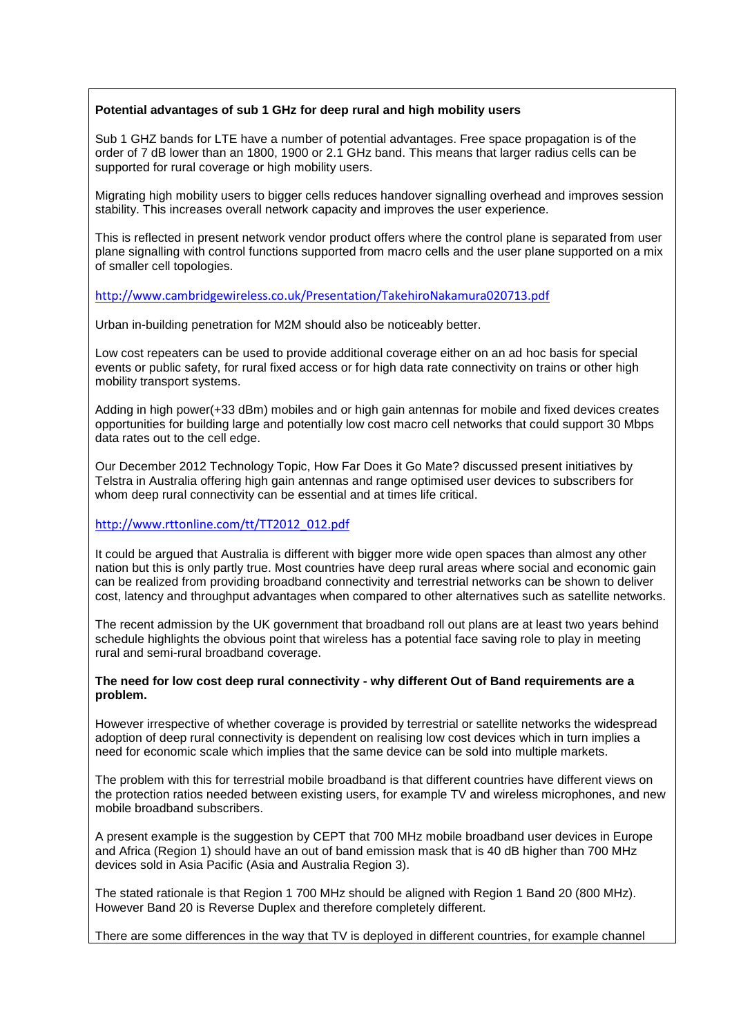## **Potential advantages of sub 1 GHz for deep rural and high mobility users**

Sub 1 GHZ bands for LTE have a number of potential advantages. Free space propagation is of the order of 7 dB lower than an 1800, 1900 or 2.1 GHz band. This means that larger radius cells can be supported for rural coverage or high mobility users.

Migrating high mobility users to bigger cells reduces handover signalling overhead and improves session stability. This increases overall network capacity and improves the user experience.

This is reflected in present network vendor product offers where the control plane is separated from user plane signalling with control functions supported from macro cells and the user plane supported on a mix of smaller cell topologies.

## <http://www.cambridgewireless.co.uk/Presentation/TakehiroNakamura020713.pdf>

Urban in-building penetration for M2M should also be noticeably better.

Low cost repeaters can be used to provide additional coverage either on an ad hoc basis for special events or public safety, for rural fixed access or for high data rate connectivity on trains or other high mobility transport systems.

Adding in high power(+33 dBm) mobiles and or high gain antennas for mobile and fixed devices creates opportunities for building large and potentially low cost macro cell networks that could support 30 Mbps data rates out to the cell edge.

Our December 2012 Technology Topic, How Far Does it Go Mate? discussed present initiatives by Telstra in Australia offering high gain antennas and range optimised user devices to subscribers for whom deep rural connectivity can be essential and at times life critical.

#### [http://www.rttonline.com/tt/TT2012\\_012.pdf](http://www.rttonline.com/tt/TT2012_012.pdf)

It could be argued that Australia is different with bigger more wide open spaces than almost any other nation but this is only partly true. Most countries have deep rural areas where social and economic gain can be realized from providing broadband connectivity and terrestrial networks can be shown to deliver cost, latency and throughput advantages when compared to other alternatives such as satellite networks.

The recent admission by the UK government that broadband roll out plans are at least two years behind schedule highlights the obvious point that wireless has a potential face saving role to play in meeting rural and semi-rural broadband coverage.

#### **The need for low cost deep rural connectivity - why different Out of Band requirements are a problem.**

However irrespective of whether coverage is provided by terrestrial or satellite networks the widespread adoption of deep rural connectivity is dependent on realising low cost devices which in turn implies a need for economic scale which implies that the same device can be sold into multiple markets.

The problem with this for terrestrial mobile broadband is that different countries have different views on the protection ratios needed between existing users, for example TV and wireless microphones, and new mobile broadband subscribers.

A present example is the suggestion by CEPT that 700 MHz mobile broadband user devices in Europe and Africa (Region 1) should have an out of band emission mask that is 40 dB higher than 700 MHz devices sold in Asia Pacific (Asia and Australia Region 3).

The stated rationale is that Region 1 700 MHz should be aligned with Region 1 Band 20 (800 MHz). However Band 20 is Reverse Duplex and therefore completely different.

There are some differences in the way that TV is deployed in different countries, for example channel